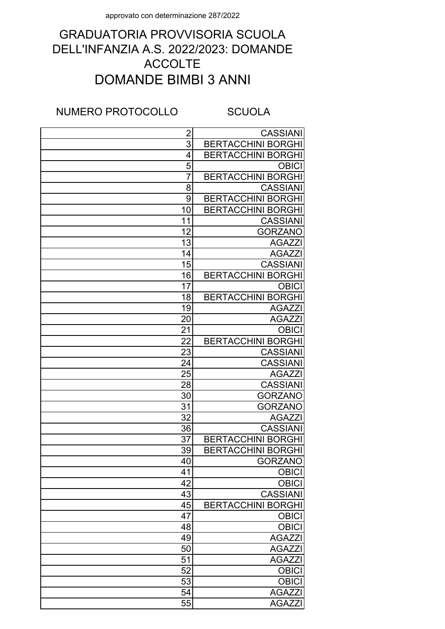## DOMANDE BIMBI 3 ANNI GRADUATORIA PROVVISORIA SCUOLA DELL'INFANZIA A.S. 2022/2023: DOMANDE ACCOLTE

NUMERO PROTOCOLLO SCUOLA

| $\overline{2}$ | <b>CASSIANI</b>           |
|----------------|---------------------------|
| 3              | <b>BERTACCHINI BORGHI</b> |
| $\overline{4}$ | <b>BERTACCHINI BORGHI</b> |
| $\overline{5}$ | <b>OBICI</b>              |
| $\overline{7}$ | <b>BERTACCHINI BORGHI</b> |
| 8              | <b>CASSIANI</b>           |
| 9              | <b>BERTACCHINI BORGHI</b> |
| 10             | <b>BERTACCHINI BORGHI</b> |
| 11             | <b>CASSIANI</b>           |
| 12             | <b>GORZANO</b>            |
| 13             | <b>AGAZZI</b>             |
| 14             | <b>AGAZZI</b>             |
| 15             | <b>CASSIANI</b>           |
| 16             | <b>BERTACCHINI BORGHI</b> |
| 17             | <b>OBICI</b>              |
| 18             | <b>BERTACCHINI BORGHI</b> |
| 19             | <b>AGAZZI</b>             |
| 20             | <b>AGAZZI</b>             |
| 21             | <b>OBICI</b>              |
| 22             | <b>BERTACCHINI BORGHI</b> |
| 23             | <b>CASSIANI</b>           |
| 24             | <b>CASSIANI</b>           |
| 25             | <b>AGAZZI</b>             |
| 28             | <b>CASSIANI</b>           |
| 30             | <b>GORZANO</b>            |
| 31             | <b>GORZANO</b>            |
| 32             | <b>AGAZZI</b>             |
| 36             | <b>CASSIANI</b>           |
| 37             | <b>BERTACCHINI BORGHI</b> |
| 39             | <b>BERTACCHINI BORGHI</b> |
| <u>40</u>      | <b>GORZANO</b>            |
| 41             | <b>OBICI</b>              |
| 42             | <b>OBICI</b>              |
| 43             | <b>CASSIANI</b>           |
| 45             | <b>BERTACCHINI BORGHI</b> |
| 47             | <b>OBICI</b>              |
| 48             | <b>OBICI</b>              |
| 49             | <b>AGAZZ</b>              |
| 50             | <b>AGAZZ</b>              |
| 51             | <b>AGAZZ</b>              |
| 52             | <b>OBICI</b>              |
| 53             | <b>OBICI</b>              |
| 54             | <b>AGAZZI</b>             |
| 55             | <b>AGAZZI</b>             |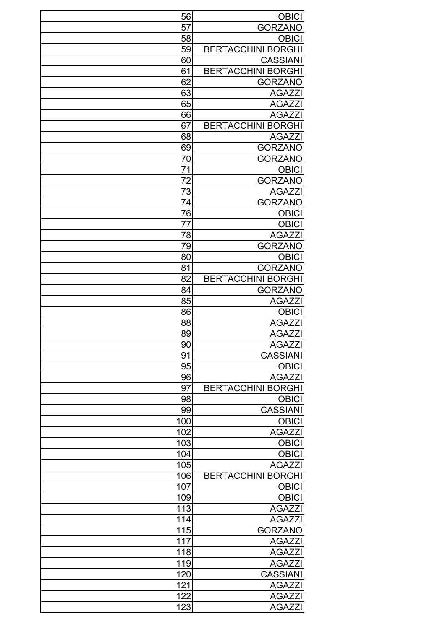| 56               | <b>OBICI</b>              |
|------------------|---------------------------|
| 57               | <b>GORZANO</b>            |
| 58               | <b>OBICI</b>              |
| 59               | <b>BERTACCHINI BORGHI</b> |
| 60               | <b>CASSIANI</b>           |
| 61               | <b>BERTACCHINI BORGHI</b> |
| 62               | <b>GORZANO</b>            |
| 63               | <b>AGAZZI</b>             |
| 65               | <b>AGAZZI</b>             |
| 66               | <b>AGAZZI</b>             |
| 67               | <b>BERTACCHINI BORGHI</b> |
| 68               | <b>AGAZZI</b>             |
| 69               | <b>GORZANO</b>            |
| 70               | <b>GORZANO</b>            |
| 71               | <b>OBICI</b>              |
| 72               | <b>GORZANO</b>            |
| 73               | <b>AGAZZI</b>             |
| 74               | <b>GORZANO</b>            |
| 76               | <b>OBICI</b>              |
| 77               | <b>OBICI</b>              |
| 78               | <b>AGAZZI</b>             |
|                  |                           |
| 79               | <b>GORZANO</b>            |
| 80               | <b>OBICI</b>              |
| 81               | <b>GORZANO</b>            |
| 82               | <b>BERTACCHINI BORGHI</b> |
| 84               | <b>GORZANO</b>            |
| 85               | <b>AGAZZI</b>             |
| 86               | <b>OBICI</b>              |
| 88               | <b>AGAZZI</b>             |
| 89               | <b>AGAZZI</b>             |
| $\overline{90}$  | <b>AGAZZI</b>             |
| 91               | <b>CASSIANI</b>           |
| 95               | <b>OBICI</b>              |
| 96               | <b>AGAZZI</b>             |
| 97               | <b>BERTACCHINI BORGHI</b> |
| 98               | <b>OBICI</b>              |
| 99               | <b>CASSIANI</b>           |
| 100              | <b>OBICI</b>              |
| 102              | <b>AGAZZI</b>             |
| 103              | <b>OBICI</b>              |
| 104              | <b>OBICI</b>              |
| 105              | <b>AGAZZI</b>             |
| 106              | <b>BERTACCHINI BORGHI</b> |
| 107              | <b>OBICI</b>              |
| 109              | <b>OBICI</b>              |
| 113              | <b>AGAZZI</b>             |
| 114              | <b>AGAZZI</b>             |
| 115              | <b>GORZANO</b>            |
| $11\overline{7}$ | <b>AGAZZI</b>             |
| 118              | <b>AGAZZI</b>             |
| 119              | <b>AGAZZI</b>             |
| 120              | <b>CASSIANI</b>           |
| 121              | <b>AGAZZI</b>             |
| 122              | <b>AGAZZI</b>             |
| 123              | <b>AGAZZI</b>             |